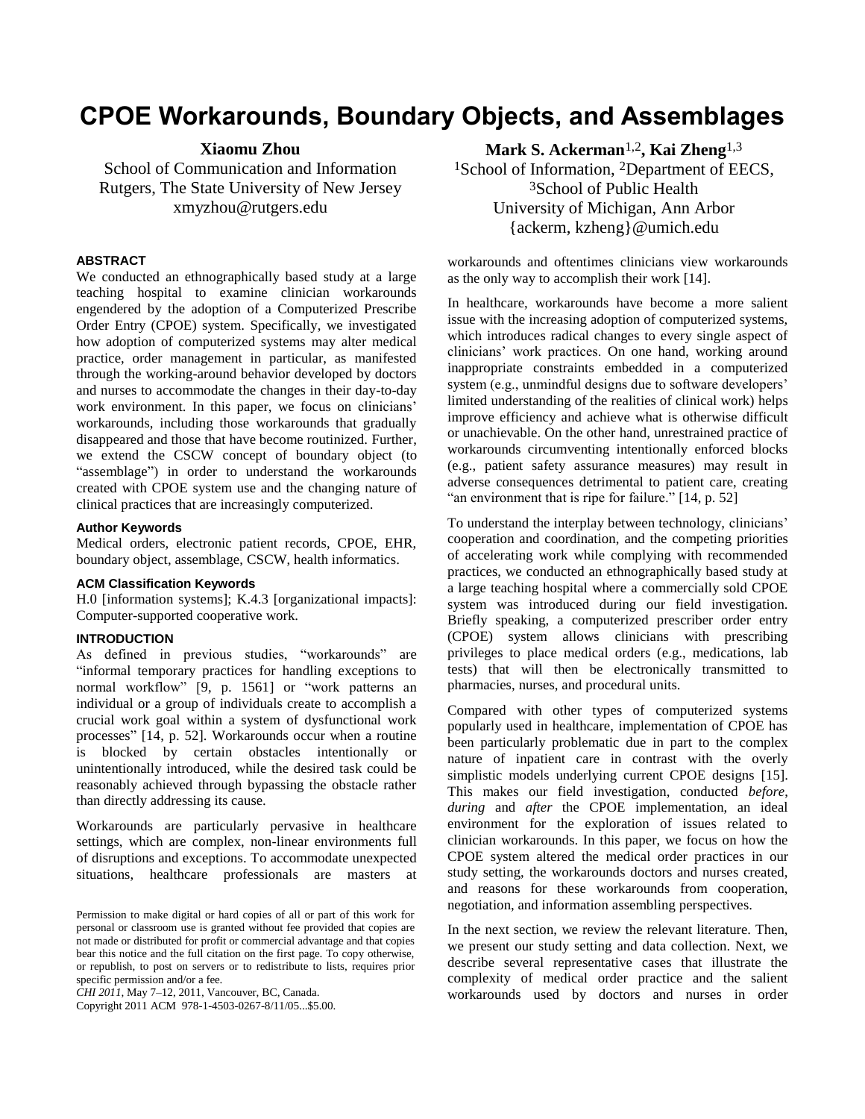# **CPOE Workarounds, Boundary Objects, and Assemblages**

**Xiaomu Zhou**

School of Communication and Information Rutgers, The State University of New Jersey xmyzhou@rutgers.edu

## **ABSTRACT**

We conducted an ethnographically based study at a large teaching hospital to examine clinician workarounds engendered by the adoption of a Computerized Prescribe Order Entry (CPOE) system. Specifically, we investigated how adoption of computerized systems may alter medical practice, order management in particular, as manifested through the working-around behavior developed by doctors and nurses to accommodate the changes in their day-to-day work environment. In this paper, we focus on clinicians' workarounds, including those workarounds that gradually disappeared and those that have become routinized. Further, we extend the CSCW concept of boundary object (to "assemblage") in order to understand the workarounds created with CPOE system use and the changing nature of clinical practices that are increasingly computerized.

## **Author Keywords**

Medical orders, electronic patient records, CPOE, EHR, boundary object, assemblage, CSCW, health informatics.

## **ACM Classification Keywords**

H.0 [information systems]; K.4.3 [organizational impacts]: Computer-supported cooperative work.

## **INTRODUCTION**

As defined in previous studies, "workarounds" are ―informal temporary practices for handling exceptions to normal workflow" [9, p. 1561] or "work patterns an individual or a group of individuals create to accomplish a crucial work goal within a system of dysfunctional work processes" [14, p. 52]. Workarounds occur when a routine is blocked by certain obstacles intentionally or unintentionally introduced, while the desired task could be reasonably achieved through bypassing the obstacle rather than directly addressing its cause.

Workarounds are particularly pervasive in healthcare settings, which are complex, non-linear environments full of disruptions and exceptions. To accommodate unexpected situations, healthcare professionals are masters at

*CHI 2011,* May 7–12, 2011, Vancouver, BC, Canada.

Copyright 2011 ACM 978-1-4503-0267-8/11/05...\$5.00.

**Mark S. Ackerman**1,2**, Kai Zheng**1,3 1School of Information, 2Department of EECS, 3School of Public Health University of Michigan, Ann Arbor {ackerm, kzheng}@umich.edu

workarounds and oftentimes clinicians view workarounds as the only way to accomplish their work [14].

In healthcare, workarounds have become a more salient issue with the increasing adoption of computerized systems, which introduces radical changes to every single aspect of clinicians' work practices. On one hand, working around inappropriate constraints embedded in a computerized system (e.g., unmindful designs due to software developers' limited understanding of the realities of clinical work) helps improve efficiency and achieve what is otherwise difficult or unachievable. On the other hand, unrestrained practice of workarounds circumventing intentionally enforced blocks (e.g., patient safety assurance measures) may result in adverse consequences detrimental to patient care, creating "an environment that is ripe for failure."  $[14, p. 52]$ 

To understand the interplay between technology, clinicians' cooperation and coordination, and the competing priorities of accelerating work while complying with recommended practices, we conducted an ethnographically based study at a large teaching hospital where a commercially sold CPOE system was introduced during our field investigation. Briefly speaking, a computerized prescriber order entry (CPOE) system allows clinicians with prescribing privileges to place medical orders (e.g., medications, lab tests) that will then be electronically transmitted to pharmacies, nurses, and procedural units.

Compared with other types of computerized systems popularly used in healthcare, implementation of CPOE has been particularly problematic due in part to the complex nature of inpatient care in contrast with the overly simplistic models underlying current CPOE designs [15]. This makes our field investigation, conducted *before*, *during* and *after* the CPOE implementation, an ideal environment for the exploration of issues related to clinician workarounds. In this paper, we focus on how the CPOE system altered the medical order practices in our study setting, the workarounds doctors and nurses created, and reasons for these workarounds from cooperation, negotiation, and information assembling perspectives.

In the next section, we review the relevant literature. Then, we present our study setting and data collection. Next, we describe several representative cases that illustrate the complexity of medical order practice and the salient workarounds used by doctors and nurses in order

Permission to make digital or hard copies of all or part of this work for personal or classroom use is granted without fee provided that copies are not made or distributed for profit or commercial advantage and that copies bear this notice and the full citation on the first page. To copy otherwise, or republish, to post on servers or to redistribute to lists, requires prior specific permission and/or a fee.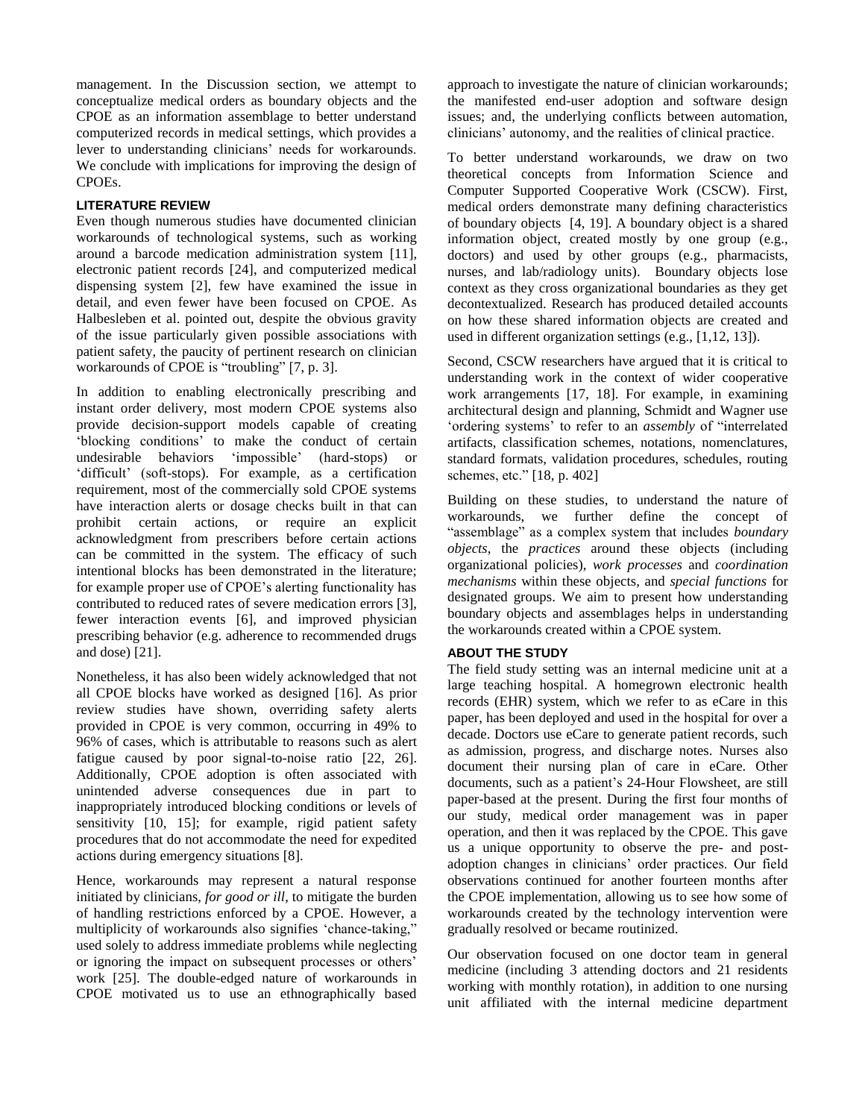management. In the Discussion section, we attempt to conceptualize medical orders as boundary objects and the CPOE as an information assemblage to better understand computerized records in medical settings, which provides a lever to understanding clinicians' needs for workarounds. We conclude with implications for improving the design of CPOEs.

# **LITERATURE REVIEW**

Even though numerous studies have documented clinician workarounds of technological systems, such as working around a barcode medication administration system [11], electronic patient records [24], and computerized medical dispensing system [2], few have examined the issue in detail, and even fewer have been focused on CPOE. As Halbesleben et al. pointed out, despite the obvious gravity of the issue particularly given possible associations with patient safety, the paucity of pertinent research on clinician workarounds of CPOE is "troubling" [7, p. 3].

In addition to enabling electronically prescribing and instant order delivery, most modern CPOE systems also provide decision-support models capable of creating ‗blocking conditions' to make the conduct of certain undesirable behaviors ‗impossible' (hard-stops) or 'difficult' (soft-stops). For example, as a certification requirement, most of the commercially sold CPOE systems have interaction alerts or dosage checks built in that can prohibit certain actions, or require an explicit acknowledgment from prescribers before certain actions can be committed in the system. The efficacy of such intentional blocks has been demonstrated in the literature; for example proper use of CPOE's alerting functionality has contributed to reduced rates of severe medication errors [3], fewer interaction events [6], and improved physician prescribing behavior (e.g. adherence to recommended drugs and dose) [21].

Nonetheless, it has also been widely acknowledged that not all CPOE blocks have worked as designed [16]. As prior review studies have shown, overriding safety alerts provided in CPOE is very common, occurring in 49% to 96% of cases, which is attributable to reasons such as alert fatigue caused by poor signal-to-noise ratio [22, 26]. Additionally, CPOE adoption is often associated with unintended adverse consequences due in part to inappropriately introduced blocking conditions or levels of sensitivity [10, 15]; for example, rigid patient safety procedures that do not accommodate the need for expedited actions during emergency situations [8].

Hence, workarounds may represent a natural response initiated by clinicians, *for good or ill*, to mitigate the burden of handling restrictions enforced by a CPOE. However, a multiplicity of workarounds also signifies 'chance-taking," used solely to address immediate problems while neglecting or ignoring the impact on subsequent processes or others' work [25]. The double-edged nature of workarounds in CPOE motivated us to use an ethnographically based

approach to investigate the nature of clinician workarounds; the manifested end-user adoption and software design issues; and, the underlying conflicts between automation, clinicians' autonomy, and the realities of clinical practice.

To better understand workarounds, we draw on two theoretical concepts from Information Science and Computer Supported Cooperative Work (CSCW). First, medical orders demonstrate many defining characteristics of boundary objects [4, 19]. A boundary object is a shared information object, created mostly by one group (e.g., doctors) and used by other groups (e.g., pharmacists, nurses, and lab/radiology units). Boundary objects lose context as they cross organizational boundaries as they get decontextualized. Research has produced detailed accounts on how these shared information objects are created and used in different organization settings (e.g., [1,12, 13]).

Second, CSCW researchers have argued that it is critical to understanding work in the context of wider cooperative work arrangements [17, 18]. For example, in examining architectural design and planning, Schmidt and Wagner use 'ordering systems' to refer to an *assembly* of "interrelated artifacts, classification schemes, notations, nomenclatures, standard formats, validation procedures, schedules, routing schemes, etc." [18, p. 402]

Building on these studies, to understand the nature of workarounds, we further define the concept of "assemblage" as a complex system that includes *boundary objects*, the *practices* around these objects (including organizational policies), *work processes* and *coordination mechanisms* within these objects, and *special functions* for designated groups. We aim to present how understanding boundary objects and assemblages helps in understanding the workarounds created within a CPOE system.

# **ABOUT THE STUDY**

The field study setting was an internal medicine unit at a large teaching hospital. A homegrown electronic health records (EHR) system, which we refer to as eCare in this paper, has been deployed and used in the hospital for over a decade. Doctors use eCare to generate patient records, such as admission, progress, and discharge notes. Nurses also document their nursing plan of care in eCare. Other documents, such as a patient's 24-Hour Flowsheet, are still paper-based at the present. During the first four months of our study, medical order management was in paper operation, and then it was replaced by the CPOE. This gave us a unique opportunity to observe the pre- and postadoption changes in clinicians' order practices. Our field observations continued for another fourteen months after the CPOE implementation, allowing us to see how some of workarounds created by the technology intervention were gradually resolved or became routinized.

Our observation focused on one doctor team in general medicine (including 3 attending doctors and 21 residents working with monthly rotation), in addition to one nursing unit affiliated with the internal medicine department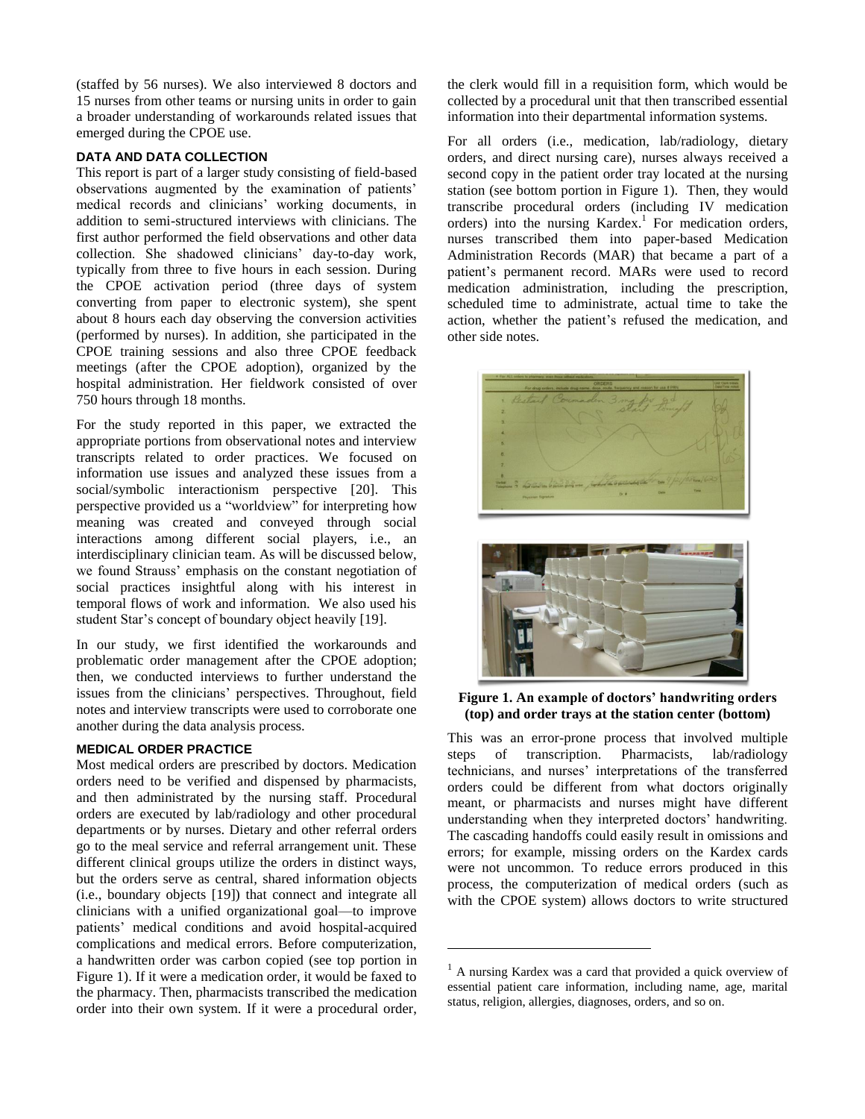(staffed by 56 nurses). We also interviewed 8 doctors and 15 nurses from other teams or nursing units in order to gain a broader understanding of workarounds related issues that emerged during the CPOE use.

# **DATA AND DATA COLLECTION**

This report is part of a larger study consisting of field-based observations augmented by the examination of patients' medical records and clinicians' working documents, in addition to semi-structured interviews with clinicians. The first author performed the field observations and other data collection. She shadowed clinicians' day-to-day work, typically from three to five hours in each session. During the CPOE activation period (three days of system converting from paper to electronic system), she spent about 8 hours each day observing the conversion activities (performed by nurses). In addition, she participated in the CPOE training sessions and also three CPOE feedback meetings (after the CPOE adoption), organized by the hospital administration. Her fieldwork consisted of over 750 hours through 18 months.

For the study reported in this paper, we extracted the appropriate portions from observational notes and interview transcripts related to order practices. We focused on information use issues and analyzed these issues from a social/symbolic interactionism perspective [20]. This perspective provided us a "worldview" for interpreting how meaning was created and conveyed through social interactions among different social players, i.e., an interdisciplinary clinician team. As will be discussed below, we found Strauss' emphasis on the constant negotiation of social practices insightful along with his interest in temporal flows of work and information. We also used his student Star's concept of boundary object heavily [19].

In our study, we first identified the workarounds and problematic order management after the CPOE adoption; then, we conducted interviews to further understand the issues from the clinicians' perspectives. Throughout, field notes and interview transcripts were used to corroborate one another during the data analysis process.

# **MEDICAL ORDER PRACTICE**

Most medical orders are prescribed by doctors. Medication orders need to be verified and dispensed by pharmacists, and then administrated by the nursing staff. Procedural orders are executed by lab/radiology and other procedural departments or by nurses. Dietary and other referral orders go to the meal service and referral arrangement unit. These different clinical groups utilize the orders in distinct ways, but the orders serve as central, shared information objects (i.e., boundary objects [19]) that connect and integrate all clinicians with a unified organizational goal—to improve patients' medical conditions and avoid hospital-acquired complications and medical errors. Before computerization, a handwritten order was carbon copied (see top portion in Figure 1). If it were a medication order, it would be faxed to the pharmacy. Then, pharmacists transcribed the medication order into their own system. If it were a procedural order,

the clerk would fill in a requisition form, which would be collected by a procedural unit that then transcribed essential information into their departmental information systems.

For all orders (i.e., medication, lab/radiology, dietary orders, and direct nursing care), nurses always received a second copy in the patient order tray located at the nursing station (see bottom portion in Figure 1). Then, they would transcribe procedural orders (including IV medication orders) into the nursing Kardex. 1 For medication orders, nurses transcribed them into paper-based Medication Administration Records (MAR) that became a part of a patient's permanent record. MARs were used to record medication administration, including the prescription, scheduled time to administrate, actual time to take the action, whether the patient's refused the medication, and other side notes.





**Figure 1. An example of doctors' handwriting orders (top) and order trays at the station center (bottom)**

This was an error-prone process that involved multiple steps of transcription. Pharmacists, lab/radiology technicians, and nurses' interpretations of the transferred orders could be different from what doctors originally meant, or pharmacists and nurses might have different understanding when they interpreted doctors' handwriting. The cascading handoffs could easily result in omissions and errors; for example, missing orders on the Kardex cards were not uncommon. To reduce errors produced in this process, the computerization of medical orders (such as with the CPOE system) allows doctors to write structured

-

 $<sup>1</sup>$  A nursing Kardex was a card that provided a quick overview of</sup> essential patient care information, including name, age, marital status, religion, allergies, diagnoses, orders, and so on.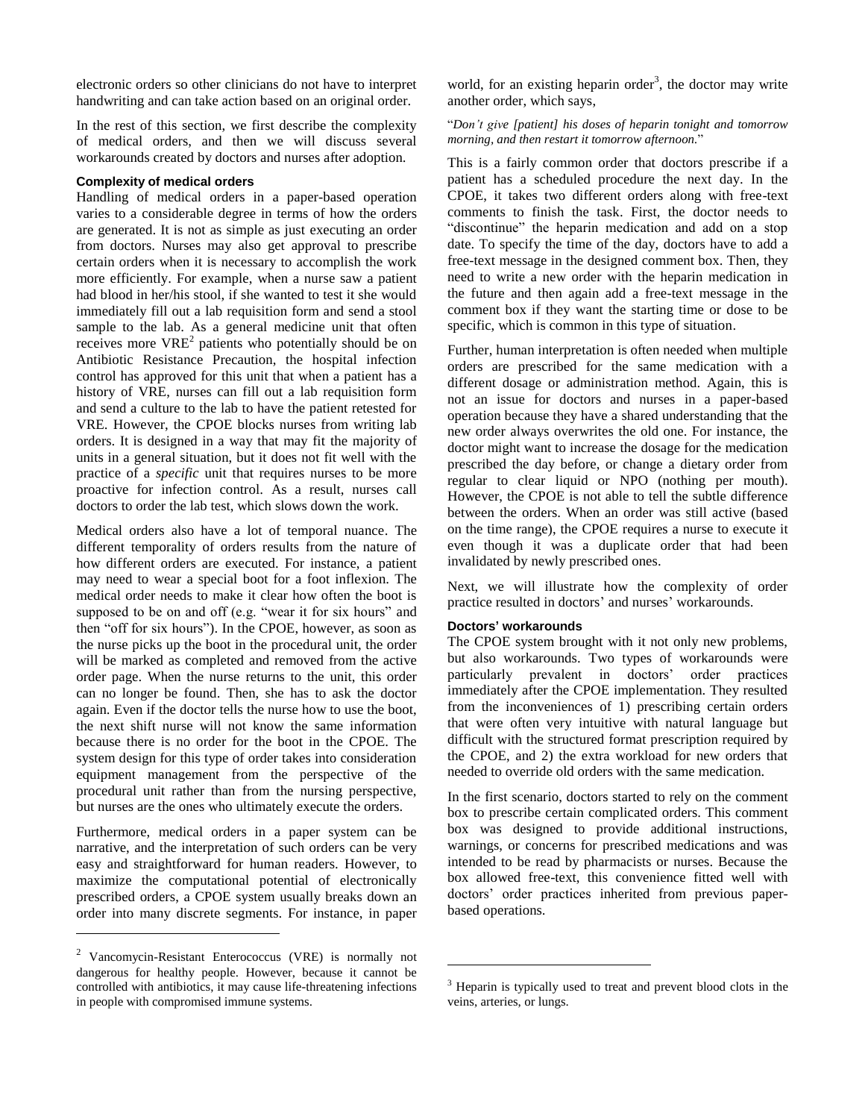electronic orders so other clinicians do not have to interpret handwriting and can take action based on an original order.

In the rest of this section, we first describe the complexity of medical orders, and then we will discuss several workarounds created by doctors and nurses after adoption.

## **Complexity of medical orders**

Handling of medical orders in a paper-based operation varies to a considerable degree in terms of how the orders are generated. It is not as simple as just executing an order from doctors. Nurses may also get approval to prescribe certain orders when it is necessary to accomplish the work more efficiently. For example, when a nurse saw a patient had blood in her/his stool, if she wanted to test it she would immediately fill out a lab requisition form and send a stool sample to the lab. As a general medicine unit that often receives more  $VRE<sup>2</sup>$  patients who potentially should be on Antibiotic Resistance Precaution, the hospital infection control has approved for this unit that when a patient has a history of VRE, nurses can fill out a lab requisition form and send a culture to the lab to have the patient retested for VRE. However, the CPOE blocks nurses from writing lab orders. It is designed in a way that may fit the majority of units in a general situation, but it does not fit well with the practice of a *specific* unit that requires nurses to be more proactive for infection control. As a result, nurses call doctors to order the lab test, which slows down the work.

Medical orders also have a lot of temporal nuance. The different temporality of orders results from the nature of how different orders are executed. For instance, a patient may need to wear a special boot for a foot inflexion. The medical order needs to make it clear how often the boot is supposed to be on and off (e.g. "wear it for six hours" and then "off for six hours"). In the CPOE, however, as soon as the nurse picks up the boot in the procedural unit, the order will be marked as completed and removed from the active order page. When the nurse returns to the unit, this order can no longer be found. Then, she has to ask the doctor again. Even if the doctor tells the nurse how to use the boot, the next shift nurse will not know the same information because there is no order for the boot in the CPOE. The system design for this type of order takes into consideration equipment management from the perspective of the procedural unit rather than from the nursing perspective, but nurses are the ones who ultimately execute the orders.

Furthermore, medical orders in a paper system can be narrative, and the interpretation of such orders can be very easy and straightforward for human readers. However, to maximize the computational potential of electronically prescribed orders, a CPOE system usually breaks down an order into many discrete segments. For instance, in paper

 $\overline{\phantom{a}}$ 

world, for an existing heparin order<sup>3</sup>, the doctor may write another order, which says,

## ―*Don"t give [patient] his doses of heparin tonight and tomorrow morning, and then restart it tomorrow afternoon.*‖

This is a fairly common order that doctors prescribe if a patient has a scheduled procedure the next day. In the CPOE, it takes two different orders along with free-text comments to finish the task. First, the doctor needs to "discontinue" the heparin medication and add on a stop date. To specify the time of the day, doctors have to add a free-text message in the designed comment box. Then, they need to write a new order with the heparin medication in the future and then again add a free-text message in the comment box if they want the starting time or dose to be specific, which is common in this type of situation.

Further, human interpretation is often needed when multiple orders are prescribed for the same medication with a different dosage or administration method. Again, this is not an issue for doctors and nurses in a paper-based operation because they have a shared understanding that the new order always overwrites the old one. For instance, the doctor might want to increase the dosage for the medication prescribed the day before, or change a dietary order from regular to clear liquid or NPO (nothing per mouth). However, the CPOE is not able to tell the subtle difference between the orders. When an order was still active (based on the time range), the CPOE requires a nurse to execute it even though it was a duplicate order that had been invalidated by newly prescribed ones.

Next, we will illustrate how the complexity of order practice resulted in doctors' and nurses' workarounds.

#### **Doctors' workarounds**

1

The CPOE system brought with it not only new problems, but also workarounds. Two types of workarounds were particularly prevalent in doctors' order practices immediately after the CPOE implementation. They resulted from the inconveniences of 1) prescribing certain orders that were often very intuitive with natural language but difficult with the structured format prescription required by the CPOE, and 2) the extra workload for new orders that needed to override old orders with the same medication.

In the first scenario, doctors started to rely on the comment box to prescribe certain complicated orders. This comment box was designed to provide additional instructions, warnings, or concerns for prescribed medications and was intended to be read by pharmacists or nurses. Because the box allowed free-text, this convenience fitted well with doctors' order practices inherited from previous paperbased operations.

<sup>2</sup> Vancomycin-Resistant Enterococcus (VRE) is normally not dangerous for healthy people. However, because it cannot be controlled with antibiotics, it may cause life-threatening infections in people with compromised immune systems.

<sup>&</sup>lt;sup>3</sup> Heparin is typically used to treat and prevent [blood clots](http://www.drugs.com/heparin.html) in the veins, arteries, or lungs.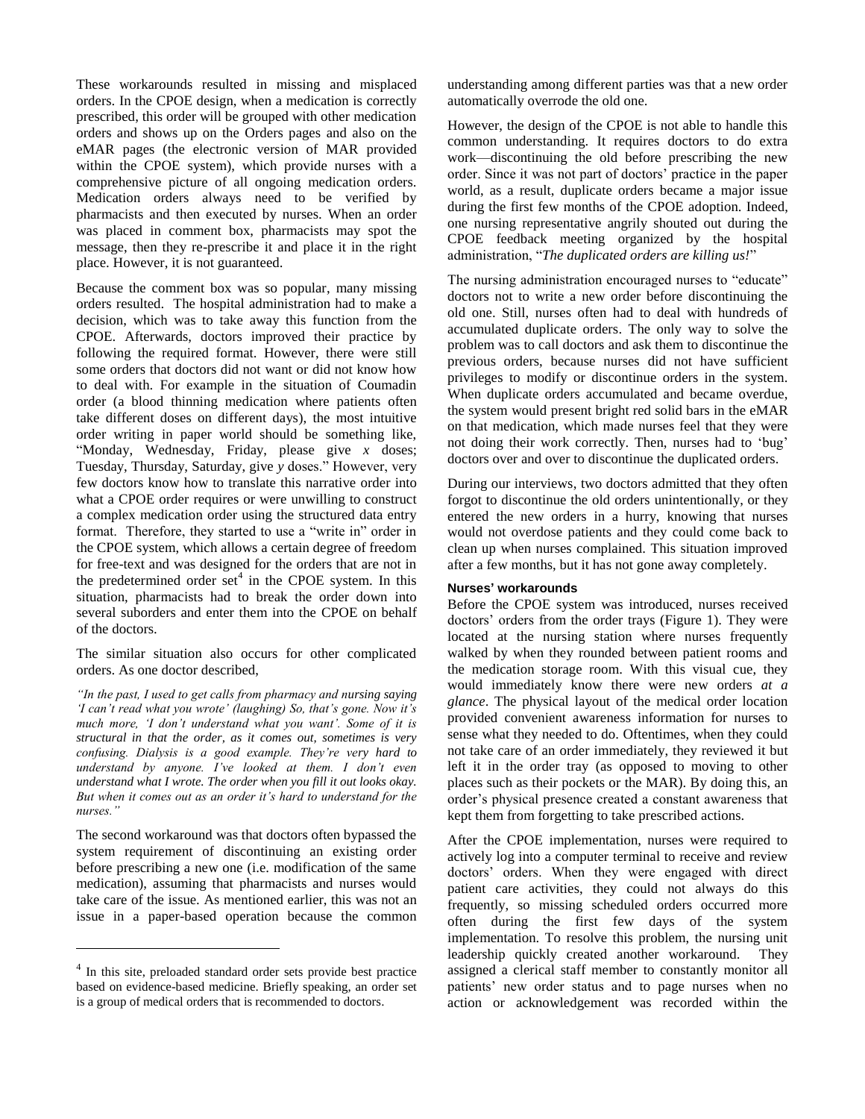These workarounds resulted in missing and misplaced orders. In the CPOE design, when a medication is correctly prescribed, this order will be grouped with other medication orders and shows up on the Orders pages and also on the eMAR pages (the electronic version of MAR provided within the CPOE system), which provide nurses with a comprehensive picture of all ongoing medication orders. Medication orders always need to be verified by pharmacists and then executed by nurses. When an order was placed in comment box, pharmacists may spot the message, then they re-prescribe it and place it in the right place. However, it is not guaranteed.

Because the comment box was so popular, many missing orders resulted. The hospital administration had to make a decision, which was to take away this function from the CPOE. Afterwards, doctors improved their practice by following the required format. However, there were still some orders that doctors did not want or did not know how to deal with. For example in the situation of Coumadin order (a blood thinning medication where patients often take different doses on different days), the most intuitive order writing in paper world should be something like, ―Monday, Wednesday, Friday, please give *x* doses; Tuesday, Thursday, Saturday, give *y* doses." However, very few doctors know how to translate this narrative order into what a CPOE order requires or were unwilling to construct a complex medication order using the structured data entry format. Therefore, they started to use a "write in" order in the CPOE system, which allows a certain degree of freedom for free-text and was designed for the orders that are not in the predetermined order  $set^4$  in the CPOE system. In this situation, pharmacists had to break the order down into several suborders and enter them into the CPOE on behalf of the doctors.

The similar situation also occurs for other complicated orders. As one doctor described,

*"In the past, I used to get calls from pharmacy and nursing saying "I can"t read what you wrote" (laughing) So, that"s gone. Now it"s much more, "I don"t understand what you want". Some of it is structural in that the order, as it comes out, sometimes is very confusing. Dialysis is a good example. They"re very hard to understand by anyone. I"ve looked at them. I don"t even understand what I wrote. The order when you fill it out looks okay. But when it comes out as an order it"s hard to understand for the nurses."*

The second workaround was that doctors often bypassed the system requirement of discontinuing an existing order before prescribing a new one (i.e. modification of the same medication), assuming that pharmacists and nurses would take care of the issue. As mentioned earlier, this was not an issue in a paper-based operation because the common

 $\overline{\phantom{a}}$ 

understanding among different parties was that a new order automatically overrode the old one.

However, the design of the CPOE is not able to handle this common understanding. It requires doctors to do extra work—discontinuing the old before prescribing the new order. Since it was not part of doctors' practice in the paper world, as a result, duplicate orders became a major issue during the first few months of the CPOE adoption. Indeed, one nursing representative angrily shouted out during the CPOE feedback meeting organized by the hospital administration, "The duplicated orders are killing us!"

The nursing administration encouraged nurses to "educate" doctors not to write a new order before discontinuing the old one. Still, nurses often had to deal with hundreds of accumulated duplicate orders. The only way to solve the problem was to call doctors and ask them to discontinue the previous orders, because nurses did not have sufficient privileges to modify or discontinue orders in the system. When duplicate orders accumulated and became overdue, the system would present bright red solid bars in the eMAR on that medication, which made nurses feel that they were not doing their work correctly. Then, nurses had to 'bug' doctors over and over to discontinue the duplicated orders.

During our interviews, two doctors admitted that they often forgot to discontinue the old orders unintentionally, or they entered the new orders in a hurry, knowing that nurses would not overdose patients and they could come back to clean up when nurses complained. This situation improved after a few months, but it has not gone away completely.

#### **Nurses' workarounds**

Before the CPOE system was introduced, nurses received doctors' orders from the order trays (Figure 1). They were located at the nursing station where nurses frequently walked by when they rounded between patient rooms and the medication storage room. With this visual cue, they would immediately know there were new orders *at a glance*. The physical layout of the medical order location provided convenient awareness information for nurses to sense what they needed to do. Oftentimes, when they could not take care of an order immediately, they reviewed it but left it in the order tray (as opposed to moving to other places such as their pockets or the MAR). By doing this, an order's physical presence created a constant awareness that kept them from forgetting to take prescribed actions.

After the CPOE implementation, nurses were required to actively log into a computer terminal to receive and review doctors' orders. When they were engaged with direct patient care activities, they could not always do this frequently, so missing scheduled orders occurred more often during the first few days of the system implementation. To resolve this problem, the nursing unit leadership quickly created another workaround. They assigned a clerical staff member to constantly monitor all patients' new order status and to page nurses when no action or acknowledgement was recorded within the

<sup>&</sup>lt;sup>4</sup> In this site, preloaded standard order sets provide best practice based on evidence-based medicine. Briefly speaking, an order set is a group of medical orders that is recommended to doctors.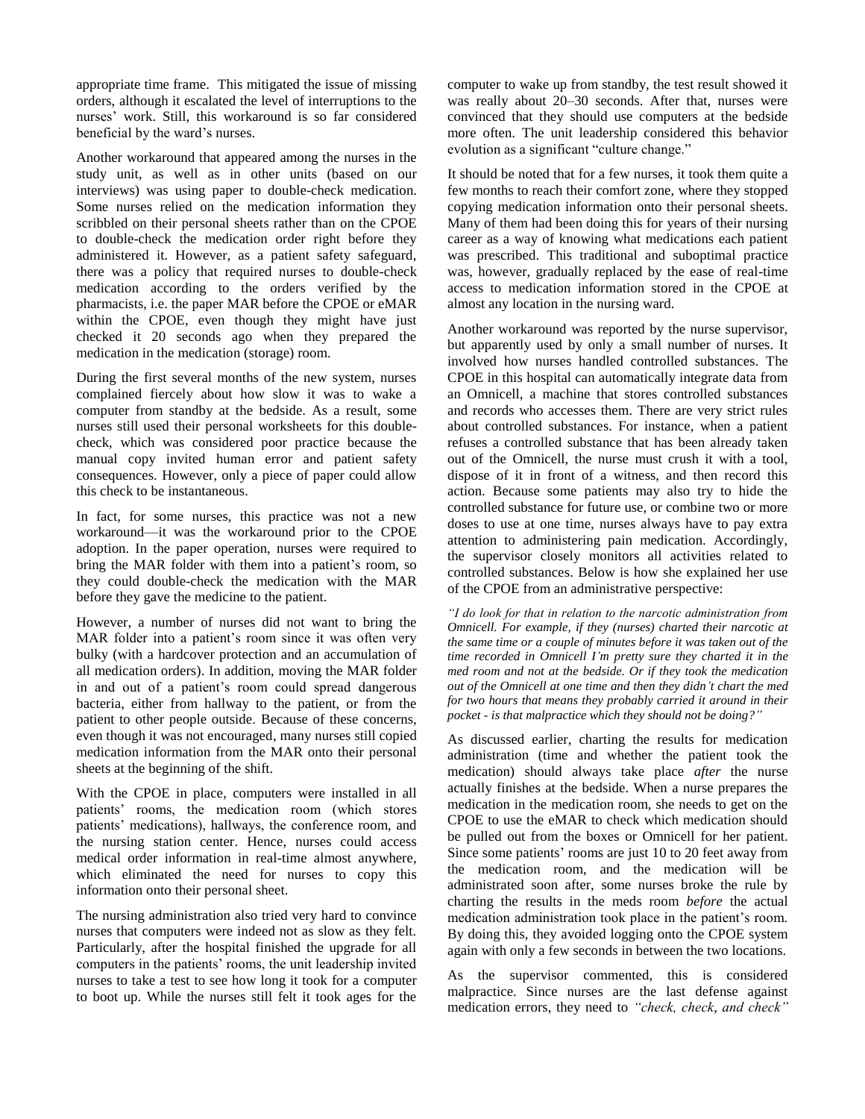appropriate time frame. This mitigated the issue of missing orders, although it escalated the level of interruptions to the nurses' work. Still, this workaround is so far considered beneficial by the ward's nurses.

Another workaround that appeared among the nurses in the study unit, as well as in other units (based on our interviews) was using paper to double-check medication. Some nurses relied on the medication information they scribbled on their personal sheets rather than on the CPOE to double-check the medication order right before they administered it. However, as a patient safety safeguard, there was a policy that required nurses to double-check medication according to the orders verified by the pharmacists, i.e. the paper MAR before the CPOE or eMAR within the CPOE, even though they might have just checked it 20 seconds ago when they prepared the medication in the medication (storage) room.

During the first several months of the new system, nurses complained fiercely about how slow it was to wake a computer from standby at the bedside. As a result, some nurses still used their personal worksheets for this doublecheck, which was considered poor practice because the manual copy invited human error and patient safety consequences. However, only a piece of paper could allow this check to be instantaneous.

In fact, for some nurses, this practice was not a new workaround—it was the workaround prior to the CPOE adoption. In the paper operation, nurses were required to bring the MAR folder with them into a patient's room, so they could double-check the medication with the MAR before they gave the medicine to the patient.

However, a number of nurses did not want to bring the MAR folder into a patient's room since it was often very bulky (with a hardcover protection and an accumulation of all medication orders). In addition, moving the MAR folder in and out of a patient's room could spread dangerous bacteria, either from hallway to the patient, or from the patient to other people outside. Because of these concerns, even though it was not encouraged, many nurses still copied medication information from the MAR onto their personal sheets at the beginning of the shift.

With the CPOE in place, computers were installed in all patients' rooms, the medication room (which stores patients' medications), hallways, the conference room, and the nursing station center. Hence, nurses could access medical order information in real-time almost anywhere, which eliminated the need for nurses to copy this information onto their personal sheet.

The nursing administration also tried very hard to convince nurses that computers were indeed not as slow as they felt. Particularly, after the hospital finished the upgrade for all computers in the patients' rooms, the unit leadership invited nurses to take a test to see how long it took for a computer to boot up. While the nurses still felt it took ages for the computer to wake up from standby, the test result showed it was really about 20–30 seconds. After that, nurses were convinced that they should use computers at the bedside more often. The unit leadership considered this behavior evolution as a significant "culture change."

It should be noted that for a few nurses, it took them quite a few months to reach their comfort zone, where they stopped copying medication information onto their personal sheets. Many of them had been doing this for years of their nursing career as a way of knowing what medications each patient was prescribed. This traditional and suboptimal practice was, however, gradually replaced by the ease of real-time access to medication information stored in the CPOE at almost any location in the nursing ward.

Another workaround was reported by the nurse supervisor, but apparently used by only a small number of nurses. It involved how nurses handled controlled substances. The CPOE in this hospital can automatically integrate data from an Omnicell, a machine that stores controlled substances and records who accesses them. There are very strict rules about controlled substances. For instance, when a patient refuses a controlled substance that has been already taken out of the Omnicell, the nurse must crush it with a tool, dispose of it in front of a witness, and then record this action. Because some patients may also try to hide the controlled substance for future use, or combine two or more doses to use at one time, nurses always have to pay extra attention to administering pain medication. Accordingly, the supervisor closely monitors all activities related to controlled substances. Below is how she explained her use of the CPOE from an administrative perspective:

*"I do look for that in relation to the narcotic administration from Omnicell. For example, if they (nurses) charted their narcotic at the same time or a couple of minutes before it was taken out of the time recorded in Omnicell I"m pretty sure they charted it in the med room and not at the bedside. Or if they took the medication out of the Omnicell at one time and then they didn"t chart the med for two hours that means they probably carried it around in their pocket - is that malpractice which they should not be doing?"*

As discussed earlier, charting the results for medication administration (time and whether the patient took the medication) should always take place *after* the nurse actually finishes at the bedside. When a nurse prepares the medication in the medication room, she needs to get on the CPOE to use the eMAR to check which medication should be pulled out from the boxes or Omnicell for her patient. Since some patients' rooms are just 10 to 20 feet away from the medication room, and the medication will be administrated soon after, some nurses broke the rule by charting the results in the meds room *before* the actual medication administration took place in the patient's room. By doing this, they avoided logging onto the CPOE system again with only a few seconds in between the two locations.

As the supervisor commented, this is considered malpractice. Since nurses are the last defense against medication errors, they need to *"check, check, and check"*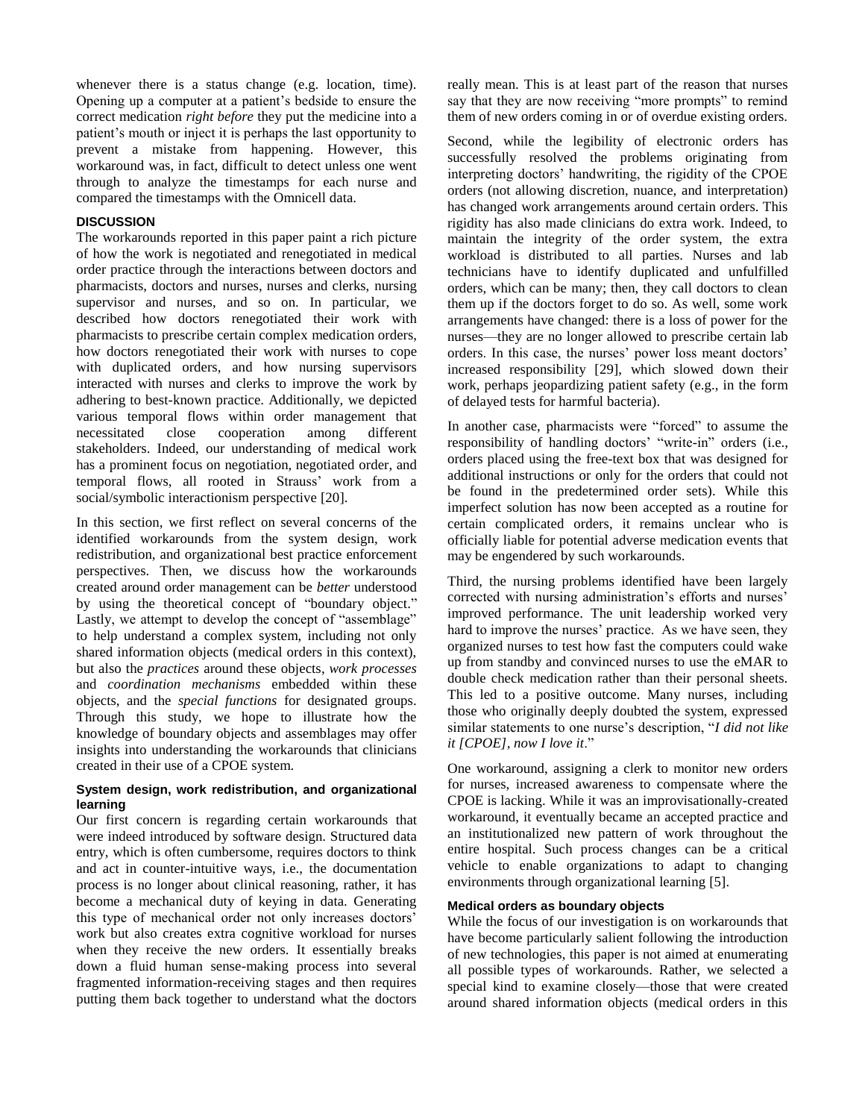whenever there is a status change (e.g. location, time). Opening up a computer at a patient's bedside to ensure the correct medication *right before* they put the medicine into a patient's mouth or inject it is perhaps the last opportunity to prevent a mistake from happening. However, this workaround was, in fact, difficult to detect unless one went through to analyze the timestamps for each nurse and compared the timestamps with the Omnicell data.

## **DISCUSSION**

The workarounds reported in this paper paint a rich picture of how the work is negotiated and renegotiated in medical order practice through the interactions between doctors and pharmacists, doctors and nurses, nurses and clerks, nursing supervisor and nurses, and so on. In particular, we described how doctors renegotiated their work with pharmacists to prescribe certain complex medication orders, how doctors renegotiated their work with nurses to cope with duplicated orders, and how nursing supervisors interacted with nurses and clerks to improve the work by adhering to best-known practice. Additionally, we depicted various temporal flows within order management that necessitated close cooperation among different stakeholders. Indeed, our understanding of medical work has a prominent focus on negotiation, negotiated order, and temporal flows, all rooted in Strauss' work from a social/symbolic interactionism perspective [20].

In this section, we first reflect on several concerns of the identified workarounds from the system design, work redistribution, and organizational best practice enforcement perspectives. Then, we discuss how the workarounds created around order management can be *better* understood by using the theoretical concept of "boundary object." Lastly, we attempt to develop the concept of "assemblage" to help understand a complex system, including not only shared information objects (medical orders in this context), but also the *practices* around these objects, *work processes* and *coordination mechanisms* embedded within these objects, and the *special functions* for designated groups. Through this study, we hope to illustrate how the knowledge of boundary objects and assemblages may offer insights into understanding the workarounds that clinicians created in their use of a CPOE system.

## **System design, work redistribution, and organizational learning**

Our first concern is regarding certain workarounds that were indeed introduced by software design. Structured data entry, which is often cumbersome, requires doctors to think and act in counter-intuitive ways, i.e., the documentation process is no longer about clinical reasoning, rather, it has become a mechanical duty of keying in data. Generating this type of mechanical order not only increases doctors' work but also creates extra cognitive workload for nurses when they receive the new orders. It essentially breaks down a fluid human sense-making process into several fragmented information-receiving stages and then requires putting them back together to understand what the doctors really mean. This is at least part of the reason that nurses say that they are now receiving "more prompts" to remind them of new orders coming in or of overdue existing orders.

Second, while the legibility of electronic orders has successfully resolved the problems originating from interpreting doctors' handwriting, the rigidity of the CPOE orders (not allowing discretion, nuance, and interpretation) has changed work arrangements around certain orders. This rigidity has also made clinicians do extra work. Indeed, to maintain the integrity of the order system, the extra workload is distributed to all parties. Nurses and lab technicians have to identify duplicated and unfulfilled orders, which can be many; then, they call doctors to clean them up if the doctors forget to do so. As well, some work arrangements have changed: there is a loss of power for the nurses—they are no longer allowed to prescribe certain lab orders. In this case, the nurses' power loss meant doctors' increased responsibility [29], which slowed down their work, perhaps jeopardizing patient safety (e.g., in the form of delayed tests for harmful bacteria).

In another case, pharmacists were "forced" to assume the responsibility of handling doctors' "write-in" orders (i.e., orders placed using the free-text box that was designed for additional instructions or only for the orders that could not be found in the predetermined order sets). While this imperfect solution has now been accepted as a routine for certain complicated orders, it remains unclear who is officially liable for potential adverse medication events that may be engendered by such workarounds.

Third, the nursing problems identified have been largely corrected with nursing administration's efforts and nurses' improved performance. The unit leadership worked very hard to improve the nurses' practice. As we have seen, they organized nurses to test how fast the computers could wake up from standby and convinced nurses to use the eMAR to double check medication rather than their personal sheets. This led to a positive outcome. Many nurses, including those who originally deeply doubted the system, expressed similar statements to one nurse's description, "I did not like *it [CPOE], now I love it.*"

One workaround, assigning a clerk to monitor new orders for nurses, increased awareness to compensate where the CPOE is lacking. While it was an improvisationally-created workaround, it eventually became an accepted practice and an institutionalized new pattern of work throughout the entire hospital. Such process changes can be a critical vehicle to enable organizations to adapt to changing environments through organizational learning [5].

## **Medical orders as boundary objects**

While the focus of our investigation is on workarounds that have become particularly salient following the introduction of new technologies, this paper is not aimed at enumerating all possible types of workarounds. Rather, we selected a special kind to examine closely—those that were created around shared information objects (medical orders in this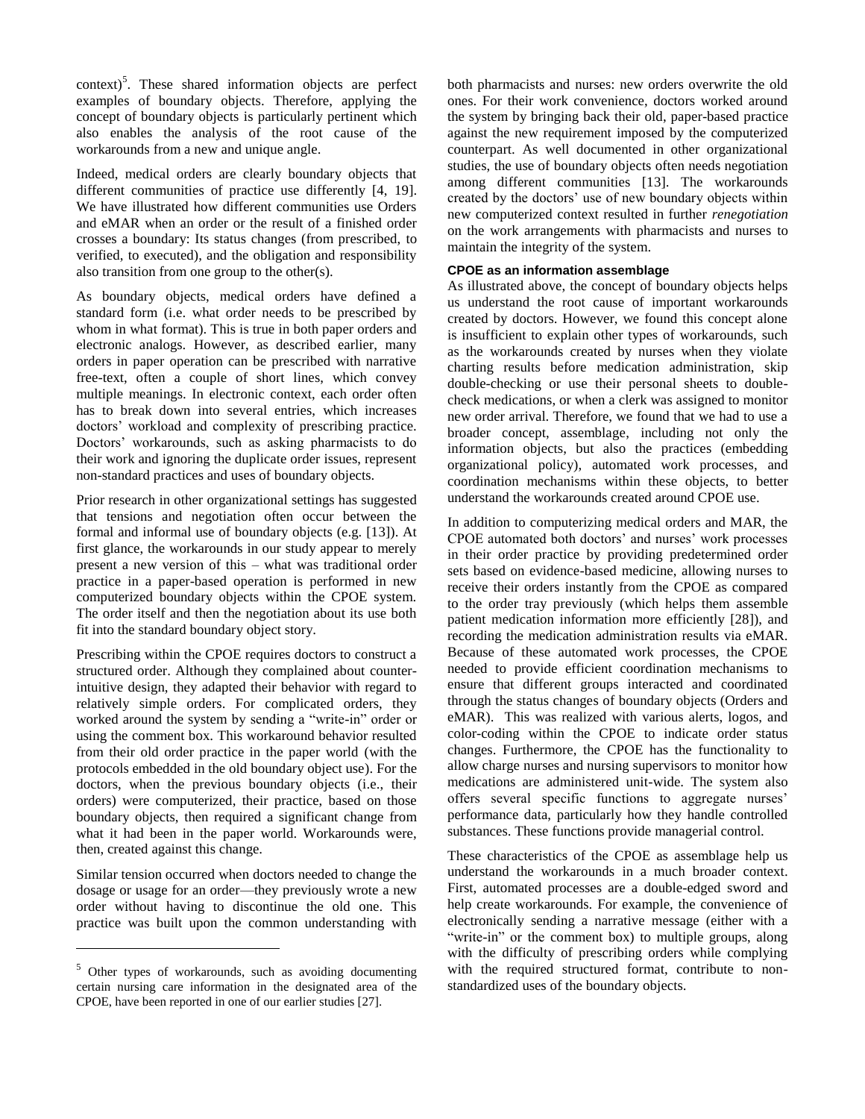context)<sup>5</sup>. These shared information objects are perfect examples of boundary objects. Therefore, applying the concept of boundary objects is particularly pertinent which also enables the analysis of the root cause of the workarounds from a new and unique angle.

Indeed, medical orders are clearly boundary objects that different communities of practice use differently [4, 19]. We have illustrated how different communities use Orders and eMAR when an order or the result of a finished order crosses a boundary: Its status changes (from prescribed, to verified, to executed), and the obligation and responsibility also transition from one group to the other(s).

As boundary objects, medical orders have defined a standard form (i.e. what order needs to be prescribed by whom in what format). This is true in both paper orders and electronic analogs. However, as described earlier, many orders in paper operation can be prescribed with narrative free-text, often a couple of short lines, which convey multiple meanings. In electronic context, each order often has to break down into several entries, which increases doctors' workload and complexity of prescribing practice. Doctors' workarounds, such as asking pharmacists to do their work and ignoring the duplicate order issues, represent non-standard practices and uses of boundary objects.

Prior research in other organizational settings has suggested that tensions and negotiation often occur between the formal and informal use of boundary objects (e.g. [13]). At first glance, the workarounds in our study appear to merely present a new version of this – what was traditional order practice in a paper-based operation is performed in new computerized boundary objects within the CPOE system. The order itself and then the negotiation about its use both fit into the standard boundary object story.

Prescribing within the CPOE requires doctors to construct a structured order. Although they complained about counterintuitive design, they adapted their behavior with regard to relatively simple orders. For complicated orders, they worked around the system by sending a "write-in" order or using the comment box. This workaround behavior resulted from their old order practice in the paper world (with the protocols embedded in the old boundary object use). For the doctors, when the previous boundary objects (i.e., their orders) were computerized, their practice, based on those boundary objects, then required a significant change from what it had been in the paper world. Workarounds were, then, created against this change.

Similar tension occurred when doctors needed to change the dosage or usage for an order—they previously wrote a new order without having to discontinue the old one. This practice was built upon the common understanding with

 $\overline{\phantom{a}}$ 

both pharmacists and nurses: new orders overwrite the old ones. For their work convenience, doctors worked around the system by bringing back their old, paper-based practice against the new requirement imposed by the computerized counterpart. As well documented in other organizational studies, the use of boundary objects often needs negotiation among different communities [13]. The workarounds created by the doctors' use of new boundary objects within new computerized context resulted in further *renegotiation* on the work arrangements with pharmacists and nurses to maintain the integrity of the system.

## **CPOE as an information assemblage**

As illustrated above, the concept of boundary objects helps us understand the root cause of important workarounds created by doctors. However, we found this concept alone is insufficient to explain other types of workarounds, such as the workarounds created by nurses when they violate charting results before medication administration, skip double-checking or use their personal sheets to doublecheck medications, or when a clerk was assigned to monitor new order arrival. Therefore, we found that we had to use a broader concept, assemblage, including not only the information objects, but also the practices (embedding organizational policy), automated work processes, and coordination mechanisms within these objects, to better understand the workarounds created around CPOE use.

In addition to computerizing medical orders and MAR, the CPOE automated both doctors' and nurses' work processes in their order practice by providing predetermined order sets based on evidence-based medicine, allowing nurses to receive their orders instantly from the CPOE as compared to the order tray previously (which helps them assemble patient medication information more efficiently [28]), and recording the medication administration results via eMAR. Because of these automated work processes, the CPOE needed to provide efficient coordination mechanisms to ensure that different groups interacted and coordinated through the status changes of boundary objects (Orders and eMAR). This was realized with various alerts, logos, and color-coding within the CPOE to indicate order status changes. Furthermore, the CPOE has the functionality to allow charge nurses and nursing supervisors to monitor how medications are administered unit-wide. The system also offers several specific functions to aggregate nurses' performance data, particularly how they handle controlled substances. These functions provide managerial control.

These characteristics of the CPOE as assemblage help us understand the workarounds in a much broader context. First, automated processes are a double-edged sword and help create workarounds. For example, the convenience of electronically sending a narrative message (either with a "write-in" or the comment box) to multiple groups, along with the difficulty of prescribing orders while complying with the required structured format, contribute to nonstandardized uses of the boundary objects.

<sup>5</sup> Other types of workarounds, such as avoiding documenting certain nursing care information in the designated area of the CPOE, have been reported in one of our earlier studies [27].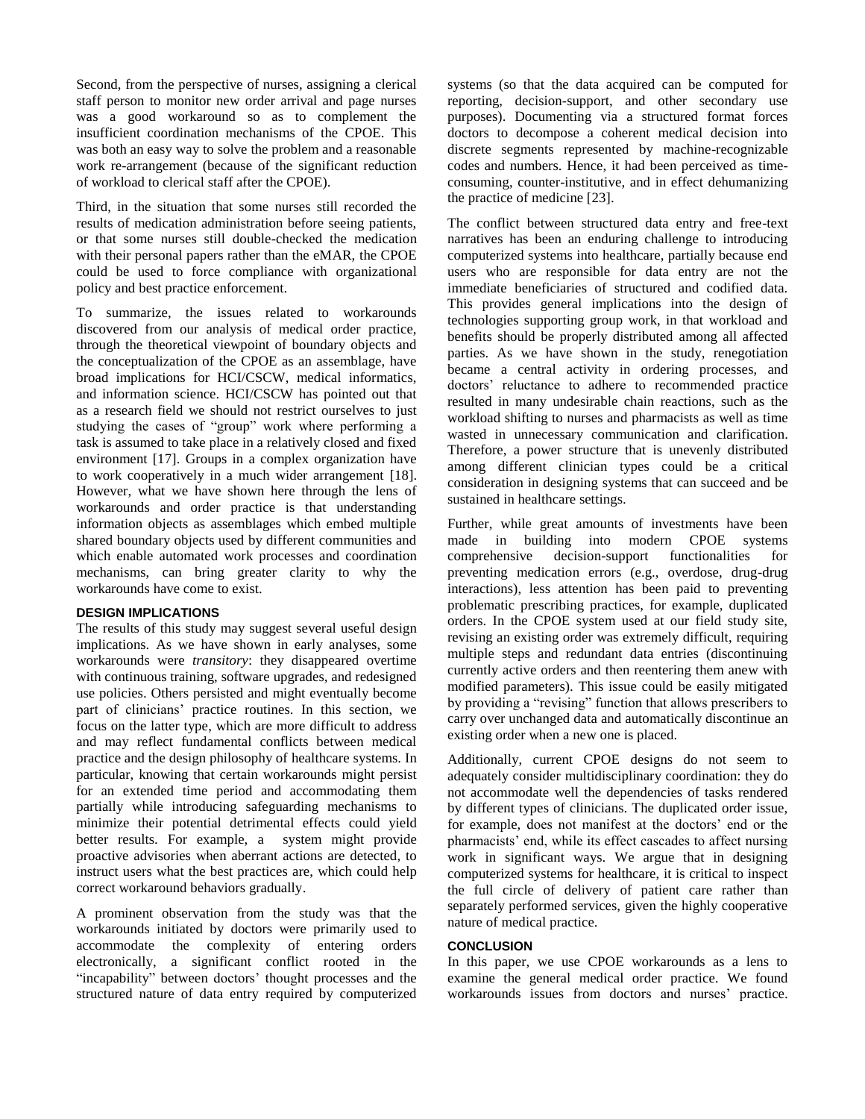Second, from the perspective of nurses, assigning a clerical staff person to monitor new order arrival and page nurses was a good workaround so as to complement the insufficient coordination mechanisms of the CPOE. This was both an easy way to solve the problem and a reasonable work re-arrangement (because of the significant reduction of workload to clerical staff after the CPOE).

Third, in the situation that some nurses still recorded the results of medication administration before seeing patients, or that some nurses still double-checked the medication with their personal papers rather than the eMAR, the CPOE could be used to force compliance with organizational policy and best practice enforcement.

To summarize, the issues related to workarounds discovered from our analysis of medical order practice, through the theoretical viewpoint of boundary objects and the conceptualization of the CPOE as an assemblage, have broad implications for HCI/CSCW, medical informatics, and information science. HCI/CSCW has pointed out that as a research field we should not restrict ourselves to just studying the cases of "group" work where performing a task is assumed to take place in a relatively closed and fixed environment [17]. Groups in a complex organization have to work cooperatively in a much wider arrangement [18]. However, what we have shown here through the lens of workarounds and order practice is that understanding information objects as assemblages which embed multiple shared boundary objects used by different communities and which enable automated work processes and coordination mechanisms, can bring greater clarity to why the workarounds have come to exist.

## **DESIGN IMPLICATIONS**

The results of this study may suggest several useful design implications. As we have shown in early analyses, some workarounds were *transitory*: they disappeared overtime with continuous training, software upgrades, and redesigned use policies. Others persisted and might eventually become part of clinicians' practice routines. In this section, we focus on the latter type, which are more difficult to address and may reflect fundamental conflicts between medical practice and the design philosophy of healthcare systems. In particular, knowing that certain workarounds might persist for an extended time period and accommodating them partially while introducing safeguarding mechanisms to minimize their potential detrimental effects could yield better results. For example, a system might provide proactive advisories when aberrant actions are detected, to instruct users what the best practices are, which could help correct workaround behaviors gradually.

A prominent observation from the study was that the workarounds initiated by doctors were primarily used to accommodate the complexity of entering orders electronically, a significant conflict rooted in the "incapability" between doctors' thought processes and the structured nature of data entry required by computerized

systems (so that the data acquired can be computed for reporting, decision-support, and other secondary use purposes). Documenting via a structured format forces doctors to decompose a coherent medical decision into discrete segments represented by machine-recognizable codes and numbers. Hence, it had been perceived as timeconsuming, counter-institutive, and in effect dehumanizing the practice of medicine [23].

The conflict between structured data entry and free-text narratives has been an enduring challenge to introducing computerized systems into healthcare, partially because end users who are responsible for data entry are not the immediate beneficiaries of structured and codified data. This provides general implications into the design of technologies supporting group work, in that workload and benefits should be properly distributed among all affected parties. As we have shown in the study, renegotiation became a central activity in ordering processes, and doctors' reluctance to adhere to recommended practice resulted in many undesirable chain reactions, such as the workload shifting to nurses and pharmacists as well as time wasted in unnecessary communication and clarification. Therefore, a power structure that is unevenly distributed among different clinician types could be a critical consideration in designing systems that can succeed and be sustained in healthcare settings.

Further, while great amounts of investments have been made in building into modern CPOE systems comprehensive decision-support functionalities for preventing medication errors (e.g., overdose, drug-drug interactions), less attention has been paid to preventing problematic prescribing practices, for example, duplicated orders. In the CPOE system used at our field study site, revising an existing order was extremely difficult, requiring multiple steps and redundant data entries (discontinuing currently active orders and then reentering them anew with modified parameters). This issue could be easily mitigated by providing a "revising" function that allows prescribers to carry over unchanged data and automatically discontinue an existing order when a new one is placed.

Additionally, current CPOE designs do not seem to adequately consider multidisciplinary coordination: they do not accommodate well the dependencies of tasks rendered by different types of clinicians. The duplicated order issue, for example, does not manifest at the doctors' end or the pharmacists' end, while its effect cascades to affect nursing work in significant ways. We argue that in designing computerized systems for healthcare, it is critical to inspect the full circle of delivery of patient care rather than separately performed services, given the highly cooperative nature of medical practice.

#### **CONCLUSION**

In this paper, we use CPOE workarounds as a lens to examine the general medical order practice. We found workarounds issues from doctors and nurses' practice.